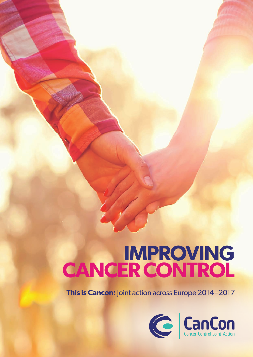## **IMPROVING CANCER CONTROL**

**This is Cancon:** Joint action across Europe 2014-2017

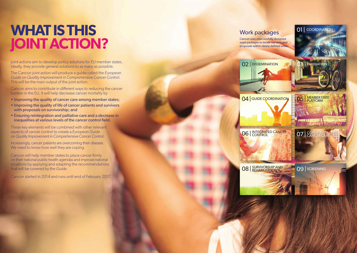## **WHAT IS THIS jointaction ?**

Joint actions aim to develop policy solutions for EU member states. Ideally, they provide general solutions to as many as possible.

The Cancon joint action will produce a guide called the *European Guide on Quality Improvement in Comprehensive Cancer Control.*  This will be the main output of the joint action.

- Improving the quality of cancer care among member states;
- Improving the quality of life of cancer patients and survivors with proposals on survivorship; and
- **Ensuring reintegration and palliative care and a decrease in**  inequalities at various levels of the cancer control field.

Increasingly, cancer patients are overcoming their disease. We need to know how well they are coping.

Cancon aims to contribute in different ways to reducing the cancer burden in the EU. It will help decrease cancer mortality by





These key elements will be combined with other relevant aspects of cancer control to create a *European Guide on Quality Improvement in Comprehensive Cancer Control* .

Cancon will help member states to place cancer firmly on their national public health agendas and improve national situations by applying and adapting the recommendations that will be covered by the *Guide*.

Cancon started in 2014 and runs until end of February 2017.